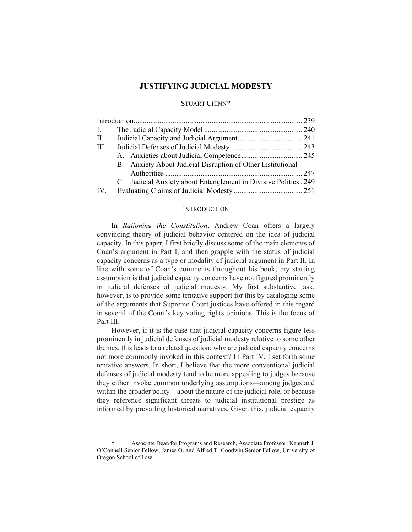# **JUSTIFYING JUDICIAL MODESTY**

## STUART CHINN[\\*](#page-0-0)

| П.   |                                                                   |  |
|------|-------------------------------------------------------------------|--|
| III. |                                                                   |  |
|      |                                                                   |  |
|      | B. Anxiety About Judicial Disruption of Other Institutional       |  |
|      |                                                                   |  |
|      | C. Judicial Anxiety about Entanglement in Divisive Politics . 249 |  |
| IV.  |                                                                   |  |
|      |                                                                   |  |

#### **INTRODUCTION**

In *Rationing the Constitution*, Andrew Coan offers a largely convincing theory of judicial behavior centered on the idea of judicial capacity. In this paper, I first briefly discuss some of the main elements of Coan's argument in Part I, and then grapple with the status of judicial capacity concerns as a type or modality of judicial argument in Part II. In line with some of Coan's comments throughout his book, my starting assumption is that judicial capacity concerns have not figured prominently in judicial defenses of judicial modesty. My first substantive task, however, is to provide some tentative support for this by cataloging some of the arguments that Supreme Court justices have offered in this regard in several of the Court's key voting rights opinions. This is the focus of Part III.

However, if it is the case that judicial capacity concerns figure less prominently in judicial defenses of judicial modesty relative to some other themes, this leads to a related question: why are judicial capacity concerns not more commonly invoked in this context? In Part IV, I set forth some tentative answers. In short, I believe that the more conventional judicial defenses of judicial modesty tend to be more appealing to judges because they either invoke common underlying assumptions—among judges and within the broader polity—about the nature of the judicial role, or because they reference significant threats to judicial institutional prestige as informed by prevailing historical narratives. Given this, judicial capacity

<span id="page-0-0"></span>Associate Dean for Programs and Research, Associate Professor, Kenneth J. O'Connell Senior Fellow, James O. and Alfred T. Goodwin Senior Fellow, University of Oregon School of Law.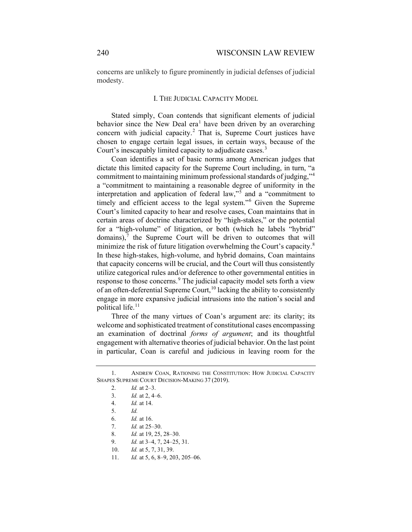concerns are unlikely to figure prominently in judicial defenses of judicial modesty.

### <span id="page-1-11"></span>I. THE JUDICIAL CAPACITY MODEL

Stated simply, Coan contends that significant elements of judicial behavior since the New Deal era<sup>[1](#page-1-0)</sup> have been driven by an overarching concern with judicial capacity.[2](#page-1-1) That is, Supreme Court justices have chosen to engage certain legal issues, in certain ways, because of the Court's inescapably limited capacity to adjudicate cases.<sup>[3](#page-1-2)</sup>

Coan identifies a set of basic norms among American judges that dictate this limited capacity for the Supreme Court including, in turn, "a commitment to maintaining minimum professional standards of judging,"[4](#page-1-3) a "commitment to maintaining a reasonable degree of uniformity in the interpretation and application of federal law,"[5](#page-1-4) and a "commitment to timely and efficient access to the legal system."[6](#page-1-5) Given the Supreme Court's limited capacity to hear and resolve cases, Coan maintains that in certain areas of doctrine characterized by "high-stakes," or the potential for a "high-volume" of litigation, or both (which he labels "hybrid" domains), $<sup>7</sup>$  $<sup>7</sup>$  $<sup>7</sup>$  the Supreme Court will be driven to outcomes that will</sup> minimize the risk of future litigation overwhelming the Court's capacity.<sup>[8](#page-1-7)</sup> In these high-stakes, high-volume, and hybrid domains, Coan maintains that capacity concerns will be crucial, and the Court will thus consistently utilize categorical rules and/or deference to other governmental entities in response to those concerns.<sup>[9](#page-1-8)</sup> The judicial capacity model sets forth a view of an often-deferential Supreme Court,<sup>[10](#page-1-9)</sup> lacking the ability to consistently engage in more expansive judicial intrusions into the nation's social and political life.<sup>[11](#page-1-10)</sup>

Three of the many virtues of Coan's argument are: its clarity; its welcome and sophisticated treatment of constitutional cases encompassing an examination of doctrinal *forms of argument*; and its thoughtful engagement with alternative theories of judicial behavior. On the last point in particular, Coan is careful and judicious in leaving room for the

- 6. *Id.* at 16.
- 7. *Id.* at 25–30.
- <span id="page-1-7"></span>8. *Id.* at 19, 25, 28–30.

<span id="page-1-6"></span><span id="page-1-5"></span><span id="page-1-4"></span><span id="page-1-3"></span><span id="page-1-2"></span><span id="page-1-1"></span><span id="page-1-0"></span><sup>1.</sup> ANDREW COAN, RATIONING THE CONSTITUTION: HOW JUDICIAL CAPACITY SHAPES SUPREME COURT DECISION-MAKING 37 (2019).

<sup>2.</sup> *Id.* at 2–3.

<sup>3.</sup> *Id.* at 2, 4–6.

<sup>4.</sup> *Id.* at 14.

<sup>5.</sup> *Id.*

<sup>9.</sup> *Id.* at 3–4, 7, 24–25, 31.

<sup>10.</sup> *Id.* at 5, 7, 31, 39.

<span id="page-1-10"></span><span id="page-1-9"></span><span id="page-1-8"></span><sup>11.</sup> *Id.* at 5, 6, 8–9, 203, 205–06.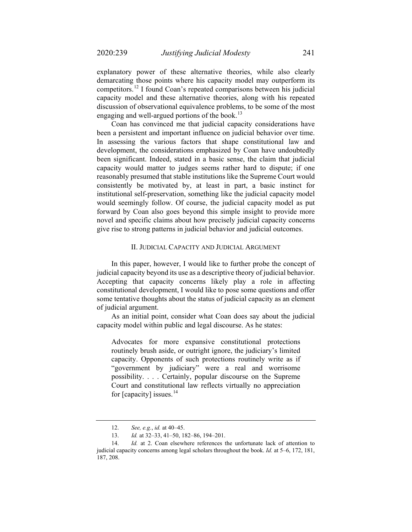explanatory power of these alternative theories, while also clearly demarcating those points where his capacity model may outperform its competitors.[12](#page-2-0) I found Coan's repeated comparisons between his judicial capacity model and these alternative theories, along with his repeated discussion of observational equivalence problems, to be some of the most engaging and well-argued portions of the book.<sup>[13](#page-2-1)</sup>

Coan has convinced me that judicial capacity considerations have been a persistent and important influence on judicial behavior over time. In assessing the various factors that shape constitutional law and development, the considerations emphasized by Coan have undoubtedly been significant. Indeed, stated in a basic sense, the claim that judicial capacity would matter to judges seems rather hard to dispute; if one reasonably presumed that stable institutions like the Supreme Court would consistently be motivated by, at least in part, a basic instinct for institutional self-preservation, something like the judicial capacity model would seemingly follow. Of course, the judicial capacity model as put forward by Coan also goes beyond this simple insight to provide more novel and specific claims about how precisely judicial capacity concerns give rise to strong patterns in judicial behavior and judicial outcomes.

### II. JUDICIAL CAPACITY AND JUDICIAL ARGUMENT

In this paper, however, I would like to further probe the concept of judicial capacity beyond its use as a descriptive theory of judicial behavior. Accepting that capacity concerns likely play a role in affecting constitutional development, I would like to pose some questions and offer some tentative thoughts about the status of judicial capacity as an element of judicial argument.

As an initial point, consider what Coan does say about the judicial capacity model within public and legal discourse. As he states:

Advocates for more expansive constitutional protections routinely brush aside, or outright ignore, the judiciary's limited capacity. Opponents of such protections routinely write as if "government by judiciary" were a real and worrisome possibility. . . . Certainly, popular discourse on the Supreme Court and constitutional law reflects virtually no appreciation for  $[capacity]$  issues.<sup>[14](#page-2-2)</sup>

<sup>12.</sup> *See, e.g.*, *id.* at 40–45.

<sup>13.</sup> *Id.* at 32–33, 41–50, 182–86, 194–201.

<span id="page-2-2"></span><span id="page-2-1"></span><span id="page-2-0"></span><sup>14.</sup> *Id.* at 2. Coan elsewhere references the unfortunate lack of attention to judicial capacity concerns among legal scholars throughout the book. *Id.* at 5–6, 172, 181, 187, 208.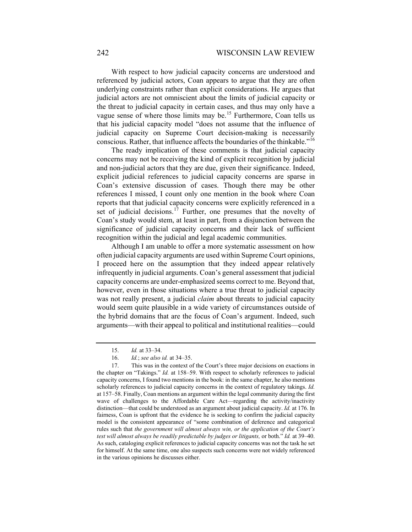With respect to how judicial capacity concerns are understood and referenced by judicial actors, Coan appears to argue that they are often underlying constraints rather than explicit considerations. He argues that judicial actors are not omniscient about the limits of judicial capacity or the threat to judicial capacity in certain cases, and thus may only have a vague sense of where those limits may be.<sup>[15](#page-3-0)</sup> Furthermore, Coan tells us that his judicial capacity model "does not assume that the influence of judicial capacity on Supreme Court decision-making is necessarily conscious. Rather, that influence affects the boundaries of the thinkable."[16](#page-3-1)

The ready implication of these comments is that judicial capacity concerns may not be receiving the kind of explicit recognition by judicial and non-judicial actors that they are due, given their significance. Indeed, explicit judicial references to judicial capacity concerns are sparse in Coan's extensive discussion of cases. Though there may be other references I missed, I count only one mention in the book where Coan reports that that judicial capacity concerns were explicitly referenced in a set of judicial decisions.<sup>[17](#page-3-2)</sup> Further, one presumes that the novelty of Coan's study would stem, at least in part, from a disjunction between the significance of judicial capacity concerns and their lack of sufficient recognition within the judicial and legal academic communities.

Although I am unable to offer a more systematic assessment on how often judicial capacity arguments are used within Supreme Court opinions, I proceed here on the assumption that they indeed appear relatively infrequently in judicial arguments. Coan's general assessment that judicial capacity concerns are under-emphasized seems correct to me. Beyond that, however, even in those situations where a true threat to judicial capacity was not really present, a judicial *claim* about threats to judicial capacity would seem quite plausible in a wide variety of circumstances outside of the hybrid domains that are the focus of Coan's argument. Indeed, such arguments—with their appeal to political and institutional realities—could

<sup>15.</sup> *Id.* at 33–34.

<sup>16.</sup> *Id.*; *see also id.* at 34–35.

<span id="page-3-2"></span><span id="page-3-1"></span><span id="page-3-0"></span><sup>17.</sup> This was in the context of the Court's three major decisions on exactions in the chapter on "Takings." *Id.* at 158–59. With respect to scholarly references to judicial capacity concerns, I found two mentions in the book: in the same chapter, he also mentions scholarly references to judicial capacity concerns in the context of regulatory takings. *Id.*  at 157–58. Finally, Coan mentions an argument within the legal community during the first wave of challenges to the Affordable Care Act—regarding the activity/inactivity distinction—that could be understood as an argument about judicial capacity. *Id.* at 176. In fairness, Coan is upfront that the evidence he is seeking to confirm the judicial capacity model is the consistent appearance of "some combination of deference and categorical rules such that *the government will almost always win, or the application of the Court's test will almost always be readily predictable by judges or litigants,* or both." *Id.* at 39–40. As such, cataloging explicit references to judicial capacity concerns was not the task he set for himself. At the same time, one also suspects such concerns were not widely referenced in the various opinions he discusses either.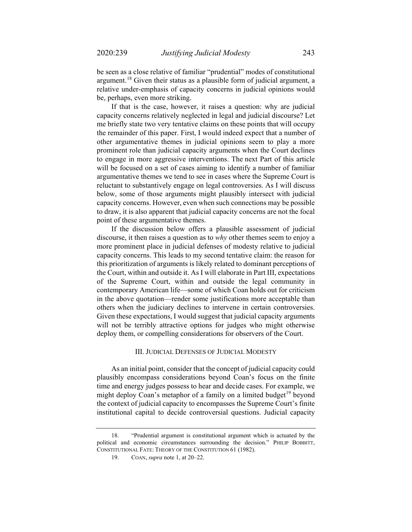be seen as a close relative of familiar "prudential" modes of constitutional argument.<sup>[18](#page-4-0)</sup> Given their status as a plausible form of judicial argument, a relative under-emphasis of capacity concerns in judicial opinions would be, perhaps, even more striking.

If that is the case, however, it raises a question: why are judicial capacity concerns relatively neglected in legal and judicial discourse? Let me briefly state two very tentative claims on these points that will occupy the remainder of this paper. First, I would indeed expect that a number of other argumentative themes in judicial opinions seem to play a more prominent role than judicial capacity arguments when the Court declines to engage in more aggressive interventions. The next Part of this article will be focused on a set of cases aiming to identify a number of familiar argumentative themes we tend to see in cases where the Supreme Court is reluctant to substantively engage on legal controversies. As I will discuss below, some of those arguments might plausibly intersect with judicial capacity concerns. However, even when such connections may be possible to draw, it is also apparent that judicial capacity concerns are not the focal point of these argumentative themes.

If the discussion below offers a plausible assessment of judicial discourse, it then raises a question as to *why* other themes seem to enjoy a more prominent place in judicial defenses of modesty relative to judicial capacity concerns. This leads to my second tentative claim: the reason for this prioritization of arguments is likely related to dominant perceptions of the Court, within and outside it. As I will elaborate in Part III, expectations of the Supreme Court, within and outside the legal community in contemporary American life—some of which Coan holds out for criticism in the above quotation—render some justifications more acceptable than others when the judiciary declines to intervene in certain controversies. Given these expectations, I would suggest that judicial capacity arguments will not be terribly attractive options for judges who might otherwise deploy them, or compelling considerations for observers of the Court.

#### III. JUDICIAL DEFENSES OF JUDICIAL MODESTY

As an initial point, consider that the concept of judicial capacity could plausibly encompass considerations beyond Coan's focus on the finite time and energy judges possess to hear and decide cases. For example, we might deploy Coan's metaphor of a family on a limited budget<sup>[19](#page-4-1)</sup> beyond the context of judicial capacity to encompasses the Supreme Court's finite institutional capital to decide controversial questions. Judicial capacity

<span id="page-4-1"></span><span id="page-4-0"></span><sup>18.</sup> "Prudential argument is constitutional argument which is actuated by the political and economic circumstances surrounding the decision." PHILIP BOBBITT, CONSTITUTIONAL FATE: THEORY OF THE CONSTITUTION 61 (1982).

<sup>19.</sup> COAN, *supra* note 1, at 20–22.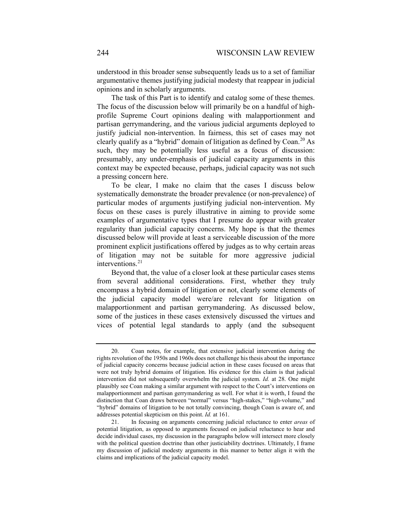understood in this broader sense subsequently leads us to a set of familiar argumentative themes justifying judicial modesty that reappear in judicial opinions and in scholarly arguments.

The task of this Part is to identify and catalog some of these themes. The focus of the discussion below will primarily be on a handful of highprofile Supreme Court opinions dealing with malapportionment and partisan gerrymandering, and the various judicial arguments deployed to justify judicial non-intervention. In fairness, this set of cases may not clearly qualify as a "hybrid" domain of litigation as defined by  $Coan.<sup>20</sup> As$  $Coan.<sup>20</sup> As$  $Coan.<sup>20</sup> As$ such, they may be potentially less useful as a focus of discussion: presumably, any under-emphasis of judicial capacity arguments in this context may be expected because, perhaps, judicial capacity was not such a pressing concern here.

To be clear, I make no claim that the cases I discuss below systematically demonstrate the broader prevalence (or non-prevalence) of particular modes of arguments justifying judicial non-intervention. My focus on these cases is purely illustrative in aiming to provide some examples of argumentative types that I presume do appear with greater regularity than judicial capacity concerns. My hope is that the themes discussed below will provide at least a serviceable discussion of the more prominent explicit justifications offered by judges as to why certain areas of litigation may not be suitable for more aggressive judicial interventions.<sup>[21](#page-5-1)</sup>

Beyond that, the value of a closer look at these particular cases stems from several additional considerations. First, whether they truly encompass a hybrid domain of litigation or not, clearly some elements of the judicial capacity model were/are relevant for litigation on malapportionment and partisan gerrymandering. As discussed below, some of the justices in these cases extensively discussed the virtues and vices of potential legal standards to apply (and the subsequent

<span id="page-5-0"></span><sup>20.</sup> Coan notes, for example, that extensive judicial intervention during the rights revolution of the 1950s and 1960s does not challenge his thesis about the importance of judicial capacity concerns because judicial action in these cases focused on areas that were not truly hybrid domains of litigation. His evidence for this claim is that judicial intervention did not subsequently overwhelm the judicial system. *Id.* at 28. One might plausibly see Coan making a similar argument with respect to the Court's interventions on malapportionment and partisan gerrymandering as well. For what it is worth, I found the distinction that Coan draws between "normal" versus "high-stakes," "high-volume," and "hybrid" domains of litigation to be not totally convincing, though Coan is aware of, and addresses potential skepticism on this point. *Id.* at 161.

<span id="page-5-1"></span><sup>21.</sup> In focusing on arguments concerning judicial reluctance to enter *areas* of potential litigation, as opposed to arguments focused on judicial reluctance to hear and decide individual cases, my discussion in the paragraphs below will intersect more closely with the political question doctrine than other justiciability doctrines. Ultimately, I frame my discussion of judicial modesty arguments in this manner to better align it with the claims and implications of the judicial capacity model.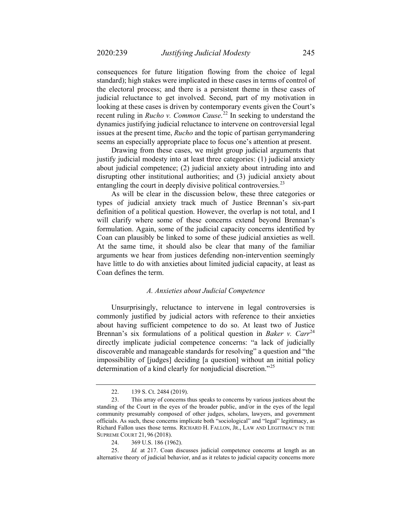consequences for future litigation flowing from the choice of legal standard); high stakes were implicated in these cases in terms of control of the electoral process; and there is a persistent theme in these cases of judicial reluctance to get involved. Second, part of my motivation in looking at these cases is driven by contemporary events given the Court's recent ruling in *Rucho v. Common Cause*. [22](#page-6-0) In seeking to understand the dynamics justifying judicial reluctance to intervene on controversial legal issues at the present time, *Rucho* and the topic of partisan gerrymandering seems an especially appropriate place to focus one's attention at present.

Drawing from these cases, we might group judicial arguments that justify judicial modesty into at least three categories: (1) judicial anxiety about judicial competence; (2) judicial anxiety about intruding into and disrupting other institutional authorities; and (3) judicial anxiety about entangling the court in deeply divisive political controversies.<sup>[23](#page-6-1)</sup>

As will be clear in the discussion below, these three categories or types of judicial anxiety track much of Justice Brennan's six-part definition of a political question. However, the overlap is not total, and I will clarify where some of these concerns extend beyond Brennan's formulation. Again, some of the judicial capacity concerns identified by Coan can plausibly be linked to some of these judicial anxieties as well. At the same time, it should also be clear that many of the familiar arguments we hear from justices defending non-intervention seemingly have little to do with anxieties about limited judicial capacity, at least as Coan defines the term.

#### *A. Anxieties about Judicial Competence*

Unsurprisingly, reluctance to intervene in legal controversies is commonly justified by judicial actors with reference to their anxieties about having sufficient competence to do so. At least two of Justice Brennan's six formulations of a political question in *Baker v. Carr*<sup>[24](#page-6-2)</sup> directly implicate judicial competence concerns: "a lack of judicially discoverable and manageable standards for resolving" a question and "the impossibility of [judges] deciding [a question] without an initial policy determination of a kind clearly for nonjudicial discretion."<sup>[25](#page-6-3)</sup>

<sup>22.</sup> 139 S. Ct. 2484 (2019).

<span id="page-6-1"></span><span id="page-6-0"></span><sup>23.</sup> This array of concerns thus speaks to concerns by various justices about the standing of the Court in the eyes of the broader public, and/or in the eyes of the legal community presumably composed of other judges, scholars, lawyers, and government officials. As such, these concerns implicate both "sociological" and "legal" legitimacy, as Richard Fallon uses those terms. RICHARD H. FALLON, JR., LAW AND LEGITIMACY IN THE SUPREME COURT 21, 96 (2018).

<sup>24.</sup> 369 U.S. 186 (1962).

<span id="page-6-3"></span><span id="page-6-2"></span><sup>25.</sup> *Id.* at 217. Coan discusses judicial competence concerns at length as an alternative theory of judicial behavior, and as it relates to judicial capacity concerns more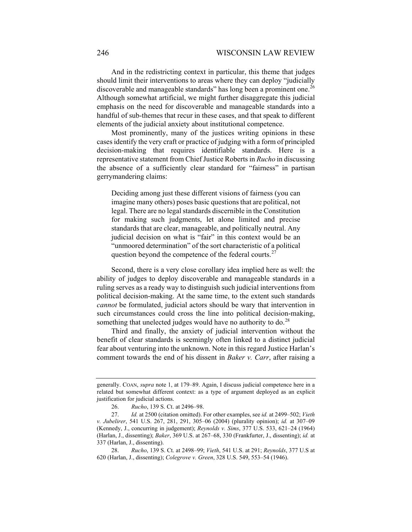<span id="page-7-3"></span>And in the redistricting context in particular, this theme that judges should limit their interventions to areas where they can deploy "judicially discoverable and manageable standards" has long been a prominent one.<sup>[26](#page-7-0)</sup> Although somewhat artificial, we might further disaggregate this judicial emphasis on the need for discoverable and manageable standards into a handful of sub-themes that recur in these cases, and that speak to different elements of the judicial anxiety about institutional competence.

Most prominently, many of the justices writing opinions in these cases identify the very craft or practice of judging with a form of principled decision-making that requires identifiable standards. Here is a representative statement from Chief Justice Roberts in *Rucho* in discussing the absence of a sufficiently clear standard for "fairness" in partisan gerrymandering claims:

Deciding among just these different visions of fairness (you can imagine many others) poses basic questions that are political, not legal. There are no legal standards discernible in the Constitution for making such judgments, let alone limited and precise standards that are clear, manageable, and politically neutral. Any judicial decision on what is "fair" in this context would be an "unmoored determination" of the sort characteristic of a political question beyond the competence of the federal courts.<sup>[27](#page-7-1)</sup>

Second, there is a very close corollary idea implied here as well: the ability of judges to deploy discoverable and manageable standards in a ruling serves as a ready way to distinguish such judicial interventions from political decision-making. At the same time, to the extent such standards *cannot* be formulated, judicial actors should be wary that intervention in such circumstances could cross the line into political decision-making, something that unelected judges would have no authority to do.<sup>[28](#page-7-2)</sup>

Third and finally, the anxiety of judicial intervention without the benefit of clear standards is seemingly often linked to a distinct judicial fear about venturing into the unknown. Note in this regard Justice Harlan's comment towards the end of his dissent in *Baker v. Carr*, after raising a

generally. COAN, *supra* not[e 1,](#page-1-11) at 179–89. Again, I discuss judicial competence here in a related but somewhat different context: as a type of argument deployed as an explicit justification for judicial actions.

<sup>26.</sup> *Rucho*, 139 S. Ct. at 2496–98.

<span id="page-7-1"></span><span id="page-7-0"></span><sup>27.</sup> *Id.* at 2500 (citation omitted). For other examples, see *id.* at 2499–502; *Vieth v. Jubelirer*, 541 U.S. 267, 281, 291, 305–06 (2004) (plurality opinion); *id.* at 307–09 (Kennedy, J., concurring in judgement); *Reynolds v. Sims*, 377 U.S. 533, 621–24 (1964) (Harlan, J., dissenting); *Baker*, 369 U.S. at 267–68, 330 (Frankfurter, J., dissenting); *id.* at 337 (Harlan, J., dissenting).

<span id="page-7-2"></span><sup>28.</sup> *Rucho*, 139 S. Ct. at 2498–99; *Vieth*, 541 U.S. at 291; *Reynolds*, 377 U.S at 620 (Harlan, J., dissenting); *Colegrove v. Green*, 328 U.S. 549, 553–54 (1946).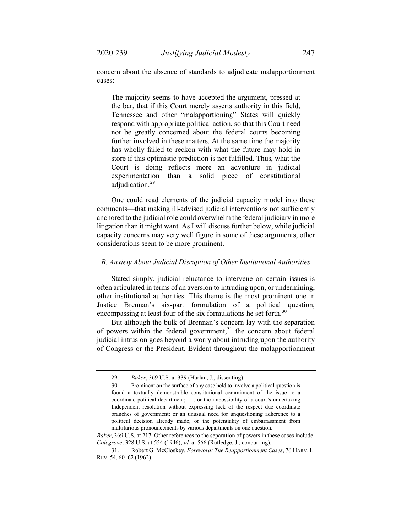concern about the absence of standards to adjudicate malapportionment cases:

The majority seems to have accepted the argument, pressed at the bar, that if this Court merely asserts authority in this field, Tennessee and other "malapportioning" States will quickly respond with appropriate political action, so that this Court need not be greatly concerned about the federal courts becoming further involved in these matters. At the same time the majority has wholly failed to reckon with what the future may hold in store if this optimistic prediction is not fulfilled. Thus, what the Court is doing reflects more an adventure in judicial experimentation than a solid piece of constitutional adjudication.<sup>[29](#page-8-0)</sup>

<span id="page-8-4"></span>One could read elements of the judicial capacity model into these comments—that making ill-advised judicial interventions not sufficiently anchored to the judicial role could overwhelm the federal judiciary in more litigation than it might want. As I will discuss further below, while judicial capacity concerns may very well figure in some of these arguments, other considerations seem to be more prominent.

## *B. Anxiety About Judicial Disruption of Other Institutional Authorities*

Stated simply, judicial reluctance to intervene on certain issues is often articulated in terms of an aversion to intruding upon, or undermining, other institutional authorities. This theme is the most prominent one in Justice Brennan's six-part formulation of a political question, encompassing at least four of the six formulations he set forth.<sup>[30](#page-8-1)</sup>

But although the bulk of Brennan's concern lay with the separation of powers within the federal government, $31$  the concern about federal judicial intrusion goes beyond a worry about intruding upon the authority of Congress or the President. Evident throughout the malapportionment

<span id="page-8-3"></span><sup>29.</sup> *Baker*, 369 U.S. at 339 (Harlan, J., dissenting).

<span id="page-8-0"></span><sup>30.</sup> Prominent on the surface of any case held to involve a political question is found a textually demonstrable constitutional commitment of the issue to a coordinate political department; . . . or the impossibility of a court's undertaking Independent resolution without expressing lack of the respect due coordinate branches of government; or an unusual need for unquestioning adherence to a political decision already made; or the potentiality of embarrassment from multifarious pronouncements by various departments on one question.

<span id="page-8-1"></span>*Baker*, 369 U.S. at 217. Other references to the separation of powers in these cases include: *Colegrove*, 328 U.S. at 554 (1946); *id.* at 566 (Rutledge, J., concurring).

<span id="page-8-2"></span><sup>31.</sup> Robert G. McCloskey, *Foreword: The Reapportionment Cases*, 76 HARV. L. REV. 54, 60–62 (1962).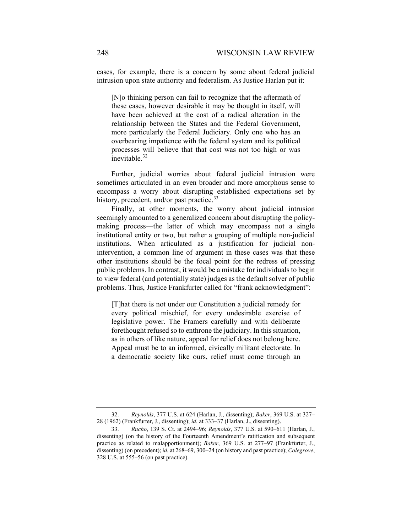cases, for example, there is a concern by some about federal judicial intrusion upon state authority and federalism. As Justice Harlan put it:

[N]o thinking person can fail to recognize that the aftermath of these cases, however desirable it may be thought in itself, will have been achieved at the cost of a radical alteration in the relationship between the States and the Federal Government, more particularly the Federal Judiciary. Only one who has an overbearing impatience with the federal system and its political processes will believe that that cost was not too high or was inevitable.[32](#page-9-0)

Further, judicial worries about federal judicial intrusion were sometimes articulated in an even broader and more amorphous sense to encompass a worry about disrupting established expectations set by history, precedent, and/or past practice.<sup>[33](#page-9-1)</sup>

Finally, at other moments, the worry about judicial intrusion seemingly amounted to a generalized concern about disrupting the policymaking process—the latter of which may encompass not a single institutional entity or two, but rather a grouping of multiple non-judicial institutions. When articulated as a justification for judicial nonintervention, a common line of argument in these cases was that these other institutions should be the focal point for the redress of pressing public problems. In contrast, it would be a mistake for individuals to begin to view federal (and potentially state) judges as the default solver of public problems. Thus, Justice Frankfurter called for "frank acknowledgment":

[T]hat there is not under our Constitution a judicial remedy for every political mischief, for every undesirable exercise of legislative power. The Framers carefully and with deliberate forethought refused so to enthrone the judiciary. In this situation, as in others of like nature, appeal for relief does not belong here. Appeal must be to an informed, civically militant electorate. In a democratic society like ours, relief must come through an

<span id="page-9-0"></span><sup>32.</sup> *Reynolds*, 377 U.S. at 624 (Harlan, J., dissenting); *Baker*, 369 U.S. at 327– 28 (1962) (Frankfurter, J., dissenting); *id.* at 333–37 (Harlan, J., dissenting).

<span id="page-9-1"></span><sup>33.</sup> *Rucho*, 139 S. Ct. at 2494–96; *Reynolds*, 377 U.S. at 590–611 (Harlan, J., dissenting) (on the history of the Fourteenth Amendment's ratification and subsequent practice as related to malapportionment); *Baker*, 369 U.S. at 277–97 (Frankfurter, J., dissenting) (on precedent); *id.* at 268–69, 300–24 (on history and past practice); *Colegrove*, 328 U.S. at 555–56 (on past practice).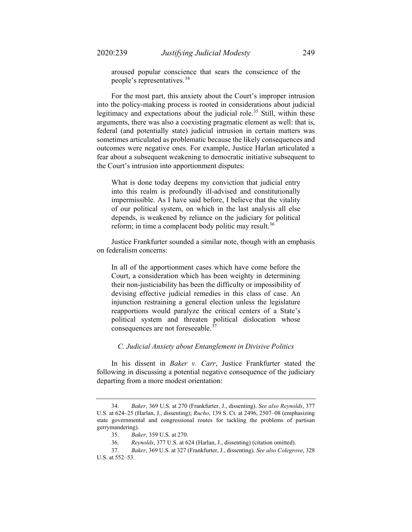aroused popular conscience that sears the conscience of the people's representatives.[34](#page-10-0)

For the most part, this anxiety about the Court's improper intrusion into the policy-making process is rooted in considerations about judicial legitimacy and expectations about the judicial role.<sup>[35](#page-10-1)</sup> Still, within these arguments, there was also a coexisting pragmatic element as well: that is, federal (and potentially state) judicial intrusion in certain matters was sometimes articulated as problematic because the likely consequences and outcomes were negative ones. For example, Justice Harlan articulated a fear about a subsequent weakening to democratic initiative subsequent to the Court's intrusion into apportionment disputes:

What is done today deepens my conviction that judicial entry into this realm is profoundly ill-advised and constitutionally impermissible. As I have said before, I believe that the vitality of our political system, on which in the last analysis all else depends, is weakened by reliance on the judiciary for political reform; in time a complacent body politic may result.<sup>[36](#page-10-2)</sup>

Justice Frankfurter sounded a similar note, though with an emphasis on federalism concerns:

In all of the apportionment cases which have come before the Court, a consideration which has been weighty in determining their non-justiciability has been the difficulty or impossibility of devising effective judicial remedies in this class of case. An injunction restraining a general election unless the legislature reapportions would paralyze the critical centers of a State's political system and threaten political dislocation whose consequences are not foreseeable.<sup>[37](#page-10-3)</sup>

## *C. Judicial Anxiety about Entanglement in Divisive Politics*

In his dissent in *Baker v. Carr*, Justice Frankfurter stated the following in discussing a potential negative consequence of the judiciary departing from a more modest orientation:

<span id="page-10-0"></span><sup>34.</sup> *Baker*, 369 U.S. at 270 (Frankfurter, J., dissenting). *See also Reynolds*, 377 U.S. at 624–25 (Harlan, J., dissenting); *Rucho*, 139 S. Ct. at 2496, 2507–08 (emphasizing state governmental and congressional routes for tackling the problems of partisan gerrymandering).

<sup>35.</sup> *Baker*, 359 U.S. at 270.

<sup>36.</sup> *Reynolds*, 377 U.S. at 624 (Harlan, J., dissenting) (citation omitted).

<span id="page-10-3"></span><span id="page-10-2"></span><span id="page-10-1"></span><sup>37.</sup> *Baker*, 369 U.S. at 327 (Frankfurter, J., dissenting). *See also Colegrove*, 328 U.S. at 552–53.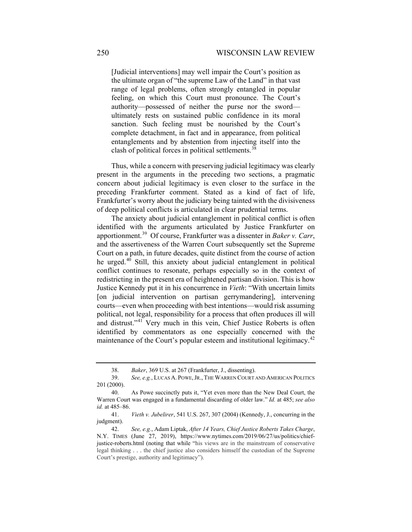[Judicial interventions] may well impair the Court's position as the ultimate organ of "the supreme Law of the Land" in that vast range of legal problems, often strongly entangled in popular feeling, on which this Court must pronounce. The Court's authority—possessed of neither the purse nor the sword ultimately rests on sustained public confidence in its moral sanction. Such feeling must be nourished by the Court's complete detachment, in fact and in appearance, from political entanglements and by abstention from injecting itself into the clash of political forces in political settlements.<sup>[38](#page-11-0)</sup>

Thus, while a concern with preserving judicial legitimacy was clearly present in the arguments in the preceding two sections, a pragmatic concern about judicial legitimacy is even closer to the surface in the preceding Frankfurter comment. Stated as a kind of fact of life, Frankfurter's worry about the judiciary being tainted with the divisiveness of deep political conflicts is articulated in clear prudential terms.

The anxiety about judicial entanglement in political conflict is often identified with the arguments articulated by Justice Frankfurter on apportionment.[39](#page-11-1) Of course, Frankfurter was a dissenter in *Baker v. Carr*, and the assertiveness of the Warren Court subsequently set the Supreme Court on a path, in future decades, quite distinct from the course of action he urged.[40](#page-11-2) Still, this anxiety about judicial entanglement in political conflict continues to resonate, perhaps especially so in the context of redistricting in the present era of heightened partisan division. This is how Justice Kennedy put it in his concurrence in *Vieth*: "With uncertain limits [on judicial intervention on partisan gerrymandering], intervening courts—even when proceeding with best intentions—would risk assuming political, not legal, responsibility for a process that often produces ill will and distrust."<sup>[41](#page-11-3)</sup> Very much in this vein, Chief Justice Roberts is often identified by commentators as one especially concerned with the maintenance of the Court's popular esteem and institutional legitimacy.<sup>[42](#page-11-4)</sup>

<sup>38.</sup> *Baker*, 369 U.S. at 267 (Frankfurter, J., dissenting).

<span id="page-11-1"></span><span id="page-11-0"></span><sup>39.</sup> *See, e.g.*, LUCAS A. POWE,JR., THE WARREN COURT AND AMERICAN POLITICS 201 (2000).

<span id="page-11-2"></span><sup>40.</sup> As Powe succinctly puts it, "Yet even more than the New Deal Court, the Warren Court was engaged in a fundamental discarding of older law." *Id.* at 485; *see also id.* at 485–86.

<span id="page-11-3"></span><sup>41.</sup> *Vieth v. Jubelirer*, 541 U.S. 267, 307 (2004) (Kennedy, J., concurring in the judgment).

<span id="page-11-4"></span><sup>42.</sup> *See, e.g.*, Adam Liptak, *After 14 Years, Chief Justice Roberts Takes Charge*, N.Y. TIMES (June 27, 2019), https://www.nytimes.com/2019/06/27/us/politics/chiefjustice-roberts.html (noting that while "his views are in the mainstream of conservative legal thinking . . . the chief justice also considers himself the custodian of the Supreme Court's prestige, authority and legitimacy").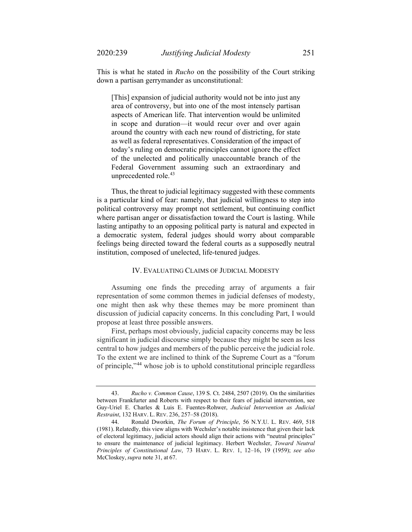This is what he stated in *Rucho* on the possibility of the Court striking down a partisan gerrymander as unconstitutional:

[This] expansion of judicial authority would not be into just any area of controversy, but into one of the most intensely partisan aspects of American life. That intervention would be unlimited in scope and duration—it would recur over and over again around the country with each new round of districting, for state as well as federal representatives. Consideration of the impact of today's ruling on democratic principles cannot ignore the effect of the unelected and politically unaccountable branch of the Federal Government assuming such an extraordinary and unprecedented role.<sup>[43](#page-12-0)</sup>

Thus, the threat to judicial legitimacy suggested with these comments is a particular kind of fear: namely, that judicial willingness to step into political controversy may prompt not settlement, but continuing conflict where partisan anger or dissatisfaction toward the Court is lasting. While lasting antipathy to an opposing political party is natural and expected in a democratic system, federal judges should worry about comparable feelings being directed toward the federal courts as a supposedly neutral institution, composed of unelected, life-tenured judges.

## IV. EVALUATING CLAIMS OF JUDICIAL MODESTY

Assuming one finds the preceding array of arguments a fair representation of some common themes in judicial defenses of modesty, one might then ask why these themes may be more prominent than discussion of judicial capacity concerns. In this concluding Part, I would propose at least three possible answers.

First, perhaps most obviously, judicial capacity concerns may be less significant in judicial discourse simply because they might be seen as less central to how judges and members of the public perceive the judicial role. To the extent we are inclined to think of the Supreme Court as a "forum of principle,"[44](#page-12-1) whose job is to uphold constitutional principle regardless

<span id="page-12-0"></span><sup>43.</sup> *Rucho v. Common Cause*, 139 S. Ct. 2484, 2507 (2019). On the similarities between Frankfurter and Roberts with respect to their fears of judicial intervention, see Guy-Uriel E. Charles & Luis E. Fuentes-Rohwer, *Judicial Intervention as Judicial Restraint*, 132 HARV. L. REV. 236, 257–58 (2018).

<span id="page-12-1"></span><sup>44.</sup> Ronald Dworkin, *The Forum of Principle*, 56 N.Y.U. L. REV. 469, 518 (1981). Relatedly, this view aligns with Wechsler's notable insistence that given their lack of electoral legitimacy, judicial actors should align their actions with "neutral principles" to ensure the maintenance of judicial legitimacy. Herbert Wechsler, *Toward Neutral Principles of Constitutional Law*, 73 HARV. L. REV. 1, 12–16, 19 (1959); *see also* McCloskey, *supra* note [31,](#page-8-3) at 67.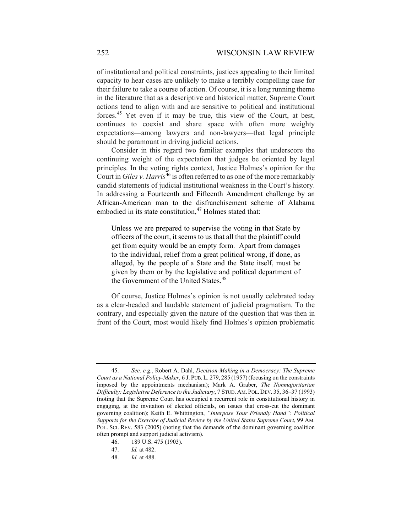of institutional and political constraints, justices appealing to their limited capacity to hear cases are unlikely to make a terribly compelling case for their failure to take a course of action. Of course, it is a long running theme in the literature that as a descriptive and historical matter, Supreme Court actions tend to align with and are sensitive to political and institutional forces.[45](#page-13-0) Yet even if it may be true, this view of the Court, at best, continues to coexist and share space with often more weighty expectations—among lawyers and non-lawyers—that legal principle should be paramount in driving judicial actions.

Consider in this regard two familiar examples that underscore the continuing weight of the expectation that judges be oriented by legal principles. In the voting rights context, Justice Holmes's opinion for the Court in *Giles v. Harris*<sup>[46](#page-13-1)</sup> is often referred to as one of the more remarkably candid statements of judicial institutional weakness in the Court's history. In addressing a Fourteenth and Fifteenth Amendment challenge by an African-American man to the disfranchisement scheme of Alabama embodied in its state constitution, $47$  Holmes stated that:

Unless we are prepared to supervise the voting in that State by officers of the court, it seems to us that all that the plaintiff could get from equity would be an empty form. Apart from damages to the individual, relief from a great political wrong, if done, as alleged, by the people of a State and the State itself, must be given by them or by the legislative and political department of the Government of the United States.<sup>[48](#page-13-3)</sup>

Of course, Justice Holmes's opinion is not usually celebrated today as a clear-headed and laudable statement of judicial pragmatism. To the contrary, and especially given the nature of the question that was then in front of the Court, most would likely find Holmes's opinion problematic

- <span id="page-13-2"></span><span id="page-13-1"></span>46. 189 U.S. 475 (1903).
- <span id="page-13-3"></span>47. *Id.* at 482.
- 48. *Id.* at 488.

<span id="page-13-0"></span><sup>45.</sup> *See, e.g.*, Robert A. Dahl, *Decision-Making in a Democracy: The Supreme Court as a National Policy-Maker*, 6 J. PUB. L. 279, 285 (1957)(focusing on the constraints imposed by the appointments mechanism); Mark A. Graber, *The Nonmajoritarian Difficulty: Legislative Deference to the Judiciary*, 7 STUD. AM. POL. DEV. 35, 36–37 (1993) (noting that the Supreme Court has occupied a recurrent role in constitutional history in engaging, at the invitation of elected officials, on issues that cross-cut the dominant governing coalition); Keith E. Whittington, *"Interpose Your Friendly Hand": Political Supports for the Exercise of Judicial Review by the United States Supreme Court*, 99 AM. POL. SCI. REV. 583 (2005) (noting that the demands of the dominant governing coalition often prompt and support judicial activism).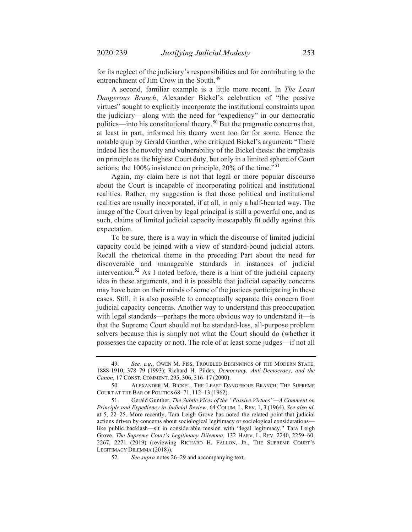for its neglect of the judiciary's responsibilities and for contributing to the entrenchment of Jim Crow in the South.<sup>[49](#page-14-0)</sup>

A second, familiar example is a little more recent. In *The Least Dangerous Branch*, Alexander Bickel's celebration of "the passive virtues" sought to explicitly incorporate the institutional constraints upon the judiciary—along with the need for "expediency" in our democratic politics—into his constitutional theory.[50](#page-14-1) But the pragmatic concerns that, at least in part, informed his theory went too far for some. Hence the notable quip by Gerald Gunther, who critiqued Bickel's argument: "There indeed lies the novelty and vulnerability of the Bickel thesis: the emphasis on principle as the highest Court duty, but only in a limited sphere of Court actions; the 100% insistence on principle, 20% of the time."[51](#page-14-2)

Again, my claim here is not that legal or more popular discourse about the Court is incapable of incorporating political and institutional realities. Rather, my suggestion is that those political and institutional realities are usually incorporated, if at all, in only a half-hearted way. The image of the Court driven by legal principal is still a powerful one, and as such, claims of limited judicial capacity inescapably fit oddly against this expectation.

To be sure, there is a way in which the discourse of limited judicial capacity could be joined with a view of standard-bound judicial actors. Recall the rhetorical theme in the preceding Part about the need for discoverable and manageable standards in instances of judicial intervention.[52](#page-14-3) As I noted before, there is a hint of the judicial capacity idea in these arguments, and it is possible that judicial capacity concerns may have been on their minds of some of the justices participating in these cases. Still, it is also possible to conceptually separate this concern from judicial capacity concerns. Another way to understand this preoccupation with legal standards—perhaps the more obvious way to understand it—is that the Supreme Court should not be standard-less, all-purpose problem solvers because this is simply not what the Court should do (whether it possesses the capacity or not). The role of at least some judges—if not all

<span id="page-14-0"></span><sup>49.</sup> *See, e.g.*, OWEN M. FISS, TROUBLED BEGINNINGS OF THE MODERN STATE, 1888-1910, 378–79 (1993); Richard H. Pildes, *Democracy, Anti-Democracy, and the Canon*, 17 CONST. COMMENT. 295, 306, 316–17 (2000).

<span id="page-14-1"></span><sup>50.</sup> ALEXANDER M. BICKEL, THE LEAST DANGEROUS BRANCH: THE SUPREME COURT AT THE BAR OF POLITICS 68–71, 112–13 (1962).

<span id="page-14-2"></span><sup>51.</sup> Gerald Gunther, *The Subtle Vices of the "Passive Virtues"—A Comment on Principle and Expediency in Judicial Review*, 64 COLUM. L. REV. 1, 3 (1964). *See also id.*  at 5, 22–25. More recently, Tara Leigh Grove has noted the related point that judicial actions driven by concerns about sociological legitimacy or sociological considerations like public backlash—sit in considerable tension with "legal legitimacy." Tara Leigh Grove, *The Supreme Court's Legitimacy Dilemma*, 132 HARV. L. REV. 2240, 2259–60, 2267, 2271 (2019) (reviewing RICHARD H. FALLON, JR., THE SUPREME COURT'S LEGITIMACY DILEMMA (2018)).

<span id="page-14-3"></span><sup>52.</sup> *See supra* notes [26](#page-7-3)[–29](#page-8-4) and accompanying text.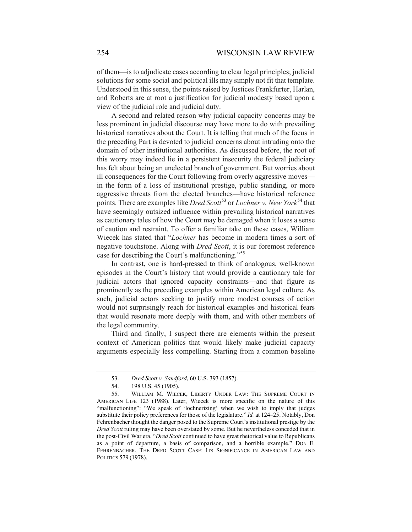of them—is to adjudicate cases according to clear legal principles; judicial solutions for some social and political ills may simply not fit that template. Understood in this sense, the points raised by Justices Frankfurter, Harlan, and Roberts are at root a justification for judicial modesty based upon a view of the judicial role and judicial duty.

A second and related reason why judicial capacity concerns may be less prominent in judicial discourse may have more to do with prevailing historical narratives about the Court. It is telling that much of the focus in the preceding Part is devoted to judicial concerns about intruding onto the domain of other institutional authorities. As discussed before, the root of this worry may indeed lie in a persistent insecurity the federal judiciary has felt about being an unelected branch of government. But worries about ill consequences for the Court following from overly aggressive moves in the form of a loss of institutional prestige, public standing, or more aggressive threats from the elected branches—have historical reference points. There are examples like *Dred Scott*[53](#page-15-0) or *Lochner v. New York*[54](#page-15-1) that have seemingly outsized influence within prevailing historical narratives as cautionary tales of how the Court may be damaged when it loses a sense of caution and restraint. To offer a familiar take on these cases, William Wiecek has stated that "*Lochner* has become in modern times a sort of negative touchstone. Along with *Dred Scott*, it is our foremost reference case for describing the Court's malfunctioning."[55](#page-15-2)

In contrast, one is hard-pressed to think of analogous, well-known episodes in the Court's history that would provide a cautionary tale for judicial actors that ignored capacity constraints—and that figure as prominently as the preceding examples within American legal culture. As such, judicial actors seeking to justify more modest courses of action would not surprisingly reach for historical examples and historical fears that would resonate more deeply with them, and with other members of the legal community.

Third and finally, I suspect there are elements within the present context of American politics that would likely make judicial capacity arguments especially less compelling. Starting from a common baseline

<sup>53.</sup> *Dred Scott v. Sandford*, 60 U.S. 393 (1857).

<sup>54.</sup> 198 U.S. 45 (1905).

<span id="page-15-2"></span><span id="page-15-1"></span><span id="page-15-0"></span><sup>55.</sup> WILLIAM M. WIECEK, LIBERTY UNDER LAW: THE SUPREME COURT IN AMERICAN LIFE 123 (1988). Later, Wiecek is more specific on the nature of this "malfunctioning": "We speak of 'lochnerizing' when we wish to imply that judges substitute their policy preferences for those of the legislature." *Id.* at 124–25. Notably, Don Fehrenbacher thought the danger posed to the Supreme Court's institutional prestige by the *Dred Scott* ruling may have been overstated by some. But he nevertheless conceded that in the post-Civil War era, "*Dred Scott* continued to have great rhetorical value to Republicans as a point of departure, a basis of comparison, and a horrible example." DON E. FEHRENBACHER, THE DRED SCOTT CASE: ITS SIGNIFICANCE IN AMERICAN LAW AND POLITICS 579 (1978).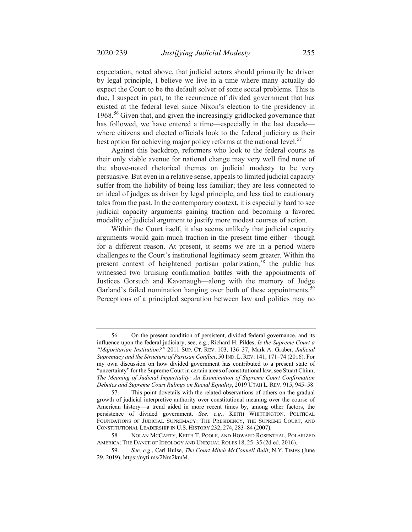expectation, noted above, that judicial actors should primarily be driven by legal principle, I believe we live in a time where many actually do expect the Court to be the default solver of some social problems. This is due, I suspect in part, to the recurrence of divided government that has existed at the federal level since Nixon's election to the presidency in 1968.[56](#page-16-0) Given that, and given the increasingly gridlocked governance that has followed, we have entered a time—especially in the last decade where citizens and elected officials look to the federal judiciary as their best option for achieving major policy reforms at the national level.<sup>[57](#page-16-1)</sup>

Against this backdrop, reformers who look to the federal courts as their only viable avenue for national change may very well find none of the above-noted rhetorical themes on judicial modesty to be very persuasive. But even in a relative sense, appeals to limited judicial capacity suffer from the liability of being less familiar; they are less connected to an ideal of judges as driven by legal principle, and less tied to cautionary tales from the past. In the contemporary context, it is especially hard to see judicial capacity arguments gaining traction and becoming a favored modality of judicial argument to justify more modest courses of action.

Within the Court itself, it also seems unlikely that judicial capacity arguments would gain much traction in the present time either—though for a different reason. At present, it seems we are in a period where challenges to the Court's institutional legitimacy seem greater. Within the present context of heightened partisan polarization,<sup>[58](#page-16-2)</sup> the public has witnessed two bruising confirmation battles with the appointments of Justices Gorsuch and Kavanaugh—along with the memory of Judge Garland's failed nomination hanging over both of these appointments.<sup>[59](#page-16-3)</sup> Perceptions of a principled separation between law and politics may no

<span id="page-16-0"></span><sup>56.</sup> On the present condition of persistent, divided federal governance, and its influence upon the federal judiciary, see, e.g., Richard H. Pildes, *Is the Supreme Court a "Majoritarian Institution?"* 2011 SUP. CT. REV. 103, 136–37; Mark A. Graber, *Judicial Supremacy and the Structure of Partisan Conflict*, 50 IND. L.REV. 141, 171–74 (2016). For my own discussion on how divided government has contributed to a present state of "uncertainty" for the Supreme Court in certain areas of constitutional law, see Stuart Chinn, *The Meaning of Judicial Impartiality: An Examination of Supreme Court Confirmation Debates and Supreme Court Rulings on Racial Equality*, 2019 UTAH L. REV. 915, 945–58.

<span id="page-16-1"></span><sup>57.</sup> This point dovetails with the related observations of others on the gradual growth of judicial interpretive authority over constitutional meaning over the course of American history—a trend aided in more recent times by, among other factors, the persistence of divided government. *See, e.g.*, KEITH WHITTINGTON, POLITICAL FOUNDATIONS OF JUDICIAL SUPREMACY: THE PRESIDENCY, THE SUPREME COURT, AND CONSTITUTIONAL LEADERSHIP IN U.S. HISTORY 232, 274, 283–84 (2007).

<span id="page-16-2"></span><sup>58.</sup> NOLAN MCCARTY, KEITH T. POOLE, AND HOWARD ROSENTHAL, POLARIZED AMERICA: THE DANCE OF IDEOLOGY AND UNEQUAL ROLES 18, 25–35 (2d ed. 2016).

<span id="page-16-3"></span><sup>59.</sup> *See, e.g.*, Carl Hulse, *The Court Mitch McConnell Built*, N.Y. TIMES (June 29, 2019), https://nyti.ms/2Nm2kmM.